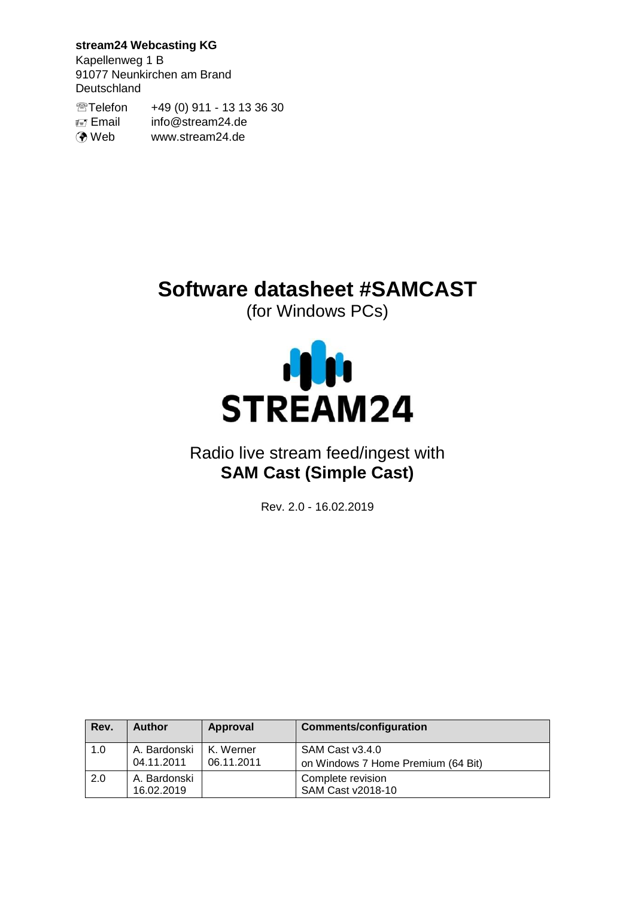**stream24 Webcasting KG**

Kapellenweg 1 B 91077 Neunkirchen am Brand Deutschland

Telefon +49 (0) 911 - 13 13 36 30 Email info@stream24.de **O** Web www.stream24.de

# **Software datasheet #SAMCAST**

(for Windows PCs)



# Radio live stream feed/ingest with **SAM Cast (Simple Cast)**

Rev. 2.0 - 16.02.2019

| Rev. | <b>Author</b>              | Approval                | <b>Comments/configuration</b>                         |
|------|----------------------------|-------------------------|-------------------------------------------------------|
| 1.0  | A. Bardonski<br>04.11.2011 | K. Werner<br>06.11.2011 | SAM Cast v3.4.0<br>on Windows 7 Home Premium (64 Bit) |
| 2.0  | A. Bardonski<br>16.02.2019 |                         | Complete revision<br>SAM Cast v2018-10                |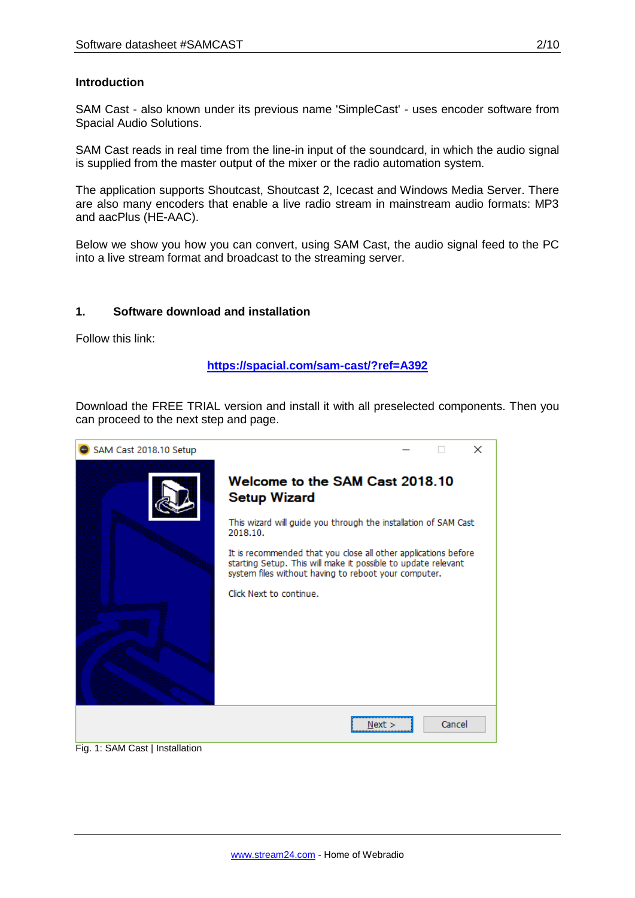# **Introduction**

SAM Cast - also known under its previous name 'SimpleCast' - uses encoder software from Spacial Audio Solutions.

SAM Cast reads in real time from the line-in input of the soundcard, in which the audio signal is supplied from the master output of the mixer or the radio automation system.

The application supports Shoutcast, Shoutcast 2, Icecast and Windows Media Server. There are also many encoders that enable a live radio stream in mainstream audio formats: MP3 and aacPlus (HE-AAC).

Below we show you how you can convert, using SAM Cast, the audio signal feed to the PC into a live stream format and broadcast to the streaming server.

#### **1. Software download and installation**

Follow this link:

#### **<https://spacial.com/sam-cast/?ref=A392>**

Download the FREE TRIAL version and install it with all preselected components. Then you can proceed to the next step and page.

| SAM Cast 2018.10 Setup                     | ×                                                                                                                                                                                       |
|--------------------------------------------|-----------------------------------------------------------------------------------------------------------------------------------------------------------------------------------------|
|                                            | Welcome to the SAM Cast 2018.10<br><b>Setup Wizard</b>                                                                                                                                  |
|                                            | This wizard will guide you through the installation of SAM Cast<br>2018.10.                                                                                                             |
|                                            | It is recommended that you close all other applications before<br>starting Setup. This will make it possible to update relevant<br>system files without having to reboot your computer. |
|                                            | Click Next to continue.                                                                                                                                                                 |
| $\Gamma$ $\alpha$ 4. CAM Coot Lootallation | Cancel<br>Next >                                                                                                                                                                        |

Fig. 1: SAM Cast | Installation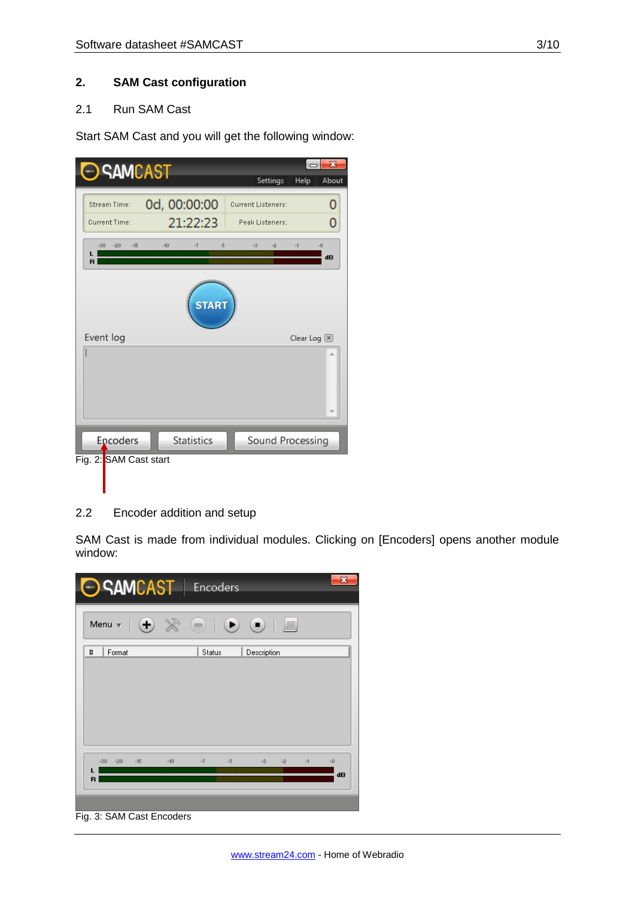# **2. SAM Cast configuration**

# 2.1 Run SAM Cast

Start SAM Cast and you will get the following window:

| <b>SAMCAST</b>          |                       |                           | $\mathbf{x}$               |
|-------------------------|-----------------------|---------------------------|----------------------------|
|                         |                       | Settings                  | Help<br>About              |
| Stream Time:            | 0d, 00:00:00          | <b>Current Listeners:</b> |                            |
| <b>Current Time:</b>    | 21:22:23              | Peak Listeners:           | Ō                          |
| $-15$<br>$-30$<br>$-20$ | $-5$<br>$-10$<br>$-7$ | $-2$<br>$-1$<br>-3        | -0                         |
|                         |                       |                           | dB                         |
|                         | <b>START</b>          |                           |                            |
| Event log               |                       |                           | Clear Log $\boxed{\times}$ |
|                         |                       |                           |                            |
| Encoders                | <b>Statistics</b>     | Sound Processing          |                            |
| Fig. 2: SAM Cast start  |                       |                           |                            |

# 2.2 Encoder addition and setup

SAM Cast is made from individual modules. Clicking on [Encoders] opens another module window:



Fig. 3: SAM Cast Encoders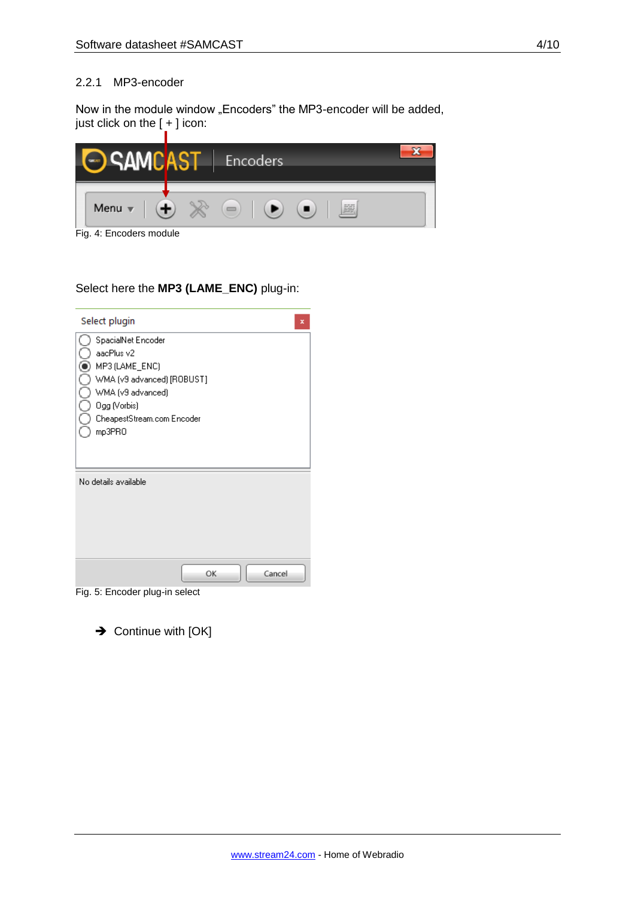#### 2.2.1 MP3-encoder

Now in the module window "Encoders" the MP3-encoder will be added, just click on the [ + ] icon:



Fig. 4: Encoders module

#### Select here the **MP3 (LAME\_ENC)** plug-in:

| Select plugin<br>x                                                                                                                                            |
|---------------------------------------------------------------------------------------------------------------------------------------------------------------|
| SpacialNet Encoder<br>aacPlus v2<br>MP3 (LAME_ENC)<br>WMA (v9 advanced) [ROBUST]<br>WMA (v9 advanced)<br>Ogg (Vorbis)<br>CheapestStream.com Encoder<br>mp3PRO |
| No details available<br>Cancel<br>OK                                                                                                                          |

Fig. 5: Encoder plug-in select

 $\rightarrow$  Continue with [OK]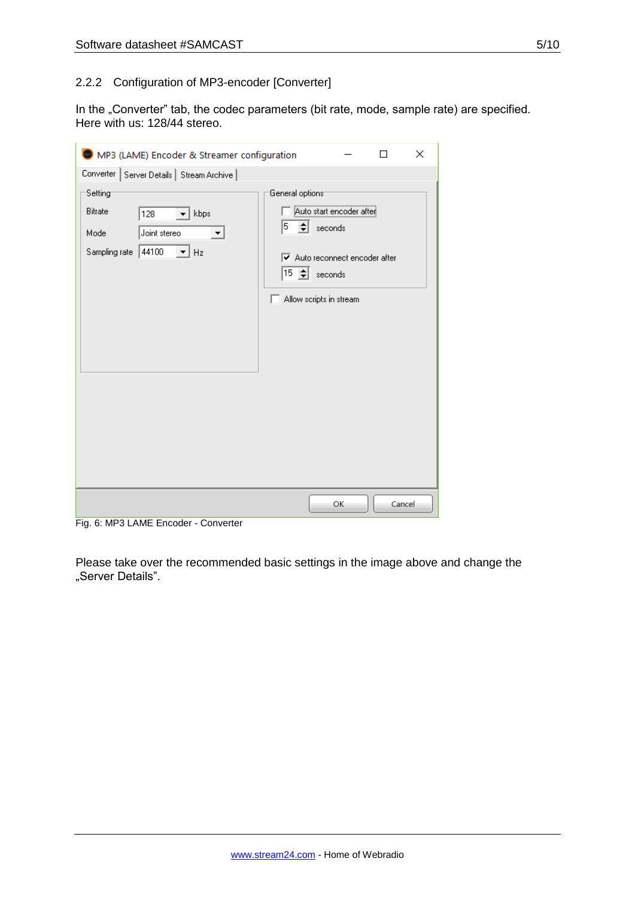# 2.2.2 Configuration of MP3-encoder [Converter]

In the "Converter" tab, the codec parameters (bit rate, mode, sample rate) are specified. Here with us: 128/44 stereo.

| MP3 (LAME) Encoder & Streamer configuration                                                    | П                                                                                                                                                                                           | $\times$ |
|------------------------------------------------------------------------------------------------|---------------------------------------------------------------------------------------------------------------------------------------------------------------------------------------------|----------|
| Converter   Server Details   Stream Archive                                                    |                                                                                                                                                                                             |          |
| Setting<br>Bitrate<br>kbps<br>128<br>Joint stereo<br>Mode<br>44100<br>Hz<br>Sampling rate<br>▾ | General options <sup>-</sup><br><br>Auto start encoder after<br>5<br>$\leftarrow$ seconds<br>$\triangledown$ Auto reconnect encoder after<br>$15 \div \sec(100)$<br>Allow scripts in stream |          |
|                                                                                                | OK<br>Cancel                                                                                                                                                                                |          |

Fig. 6: MP3 LAME Encoder - Converter

Please take over the recommended basic settings in the image above and change the "Server Details".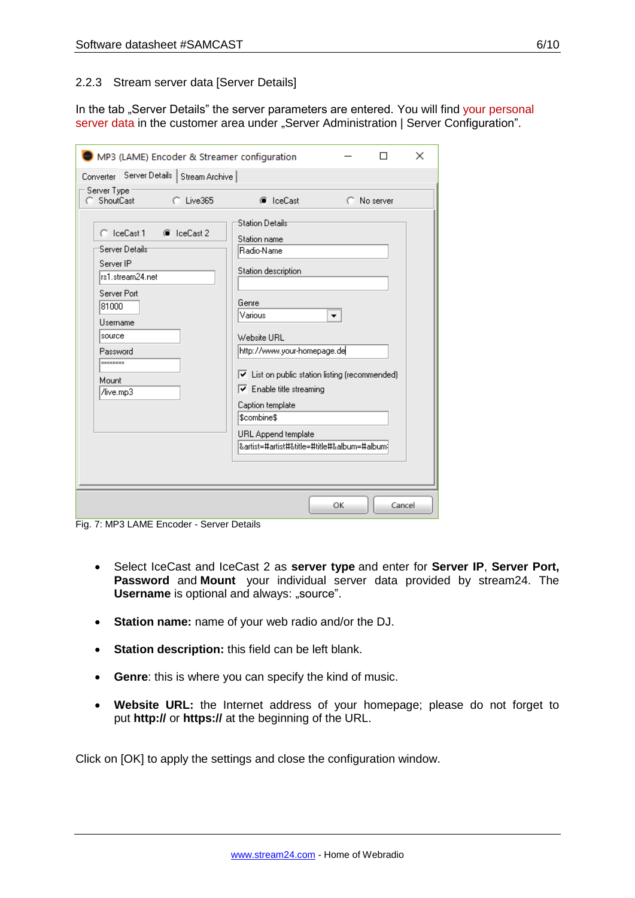#### 2.2.3 Stream server data [Server Details]

In the tab "Server Details" the server parameters are entered. You will find your personal server data in the customer area under "Server Administration | Server Configuration".

| ×<br>MP3 (LAME) Encoder & Streamer configuration                                                                                                                                     |                                                                                                                                                                                                                                                                                                                                                                   |    |             |  |  |
|--------------------------------------------------------------------------------------------------------------------------------------------------------------------------------------|-------------------------------------------------------------------------------------------------------------------------------------------------------------------------------------------------------------------------------------------------------------------------------------------------------------------------------------------------------------------|----|-------------|--|--|
| Server Details   Stream Archive  <br>Converter                                                                                                                                       |                                                                                                                                                                                                                                                                                                                                                                   |    |             |  |  |
| Server Type<br>ShoutCast<br>C Live365<br>О.                                                                                                                                          | C IceCast                                                                                                                                                                                                                                                                                                                                                         |    | C No server |  |  |
| $C$ IceCast 1<br>C IceCast 2<br>Server Details:<br>Server IP<br>rs1.stream24.net<br>Server Port<br>81000<br>Username<br>source<br>Password<br><b>xxxxxxxxx</b><br>Mount<br>/live.mp3 | <b>Station Details</b><br>Station name<br>Radio-Name<br>Station description<br>Genre<br>Various<br>Website URL<br>http://www.your-homepage.de<br>$\triangledown$ List on public station listing (recommended)<br>$\triangledown$ Enable title streaming<br>Caption template<br>\$combine\$<br>URL Append template<br> &artist=#artist#&title=#title#&album=#album | ▼  |             |  |  |
|                                                                                                                                                                                      |                                                                                                                                                                                                                                                                                                                                                                   | OK | Cancel      |  |  |

Fig. 7: MP3 LAME Encoder - Server Details

- Select IceCast and IceCast 2 as **server type** and enter for **Server IP**, **Server Port, Password** and **Mount** your individual server data provided by stream24. The **Username** is optional and always: "source".
- **Station name:** name of your web radio and/or the DJ.
- **Station description:** this field can be left blank.
- **Genre**: this is where you can specify the kind of music.
- **Website URL:** the Internet address of your homepage; please do not forget to put **http://** or **https://** at the beginning of the URL.

Click on [OK] to apply the settings and close the configuration window.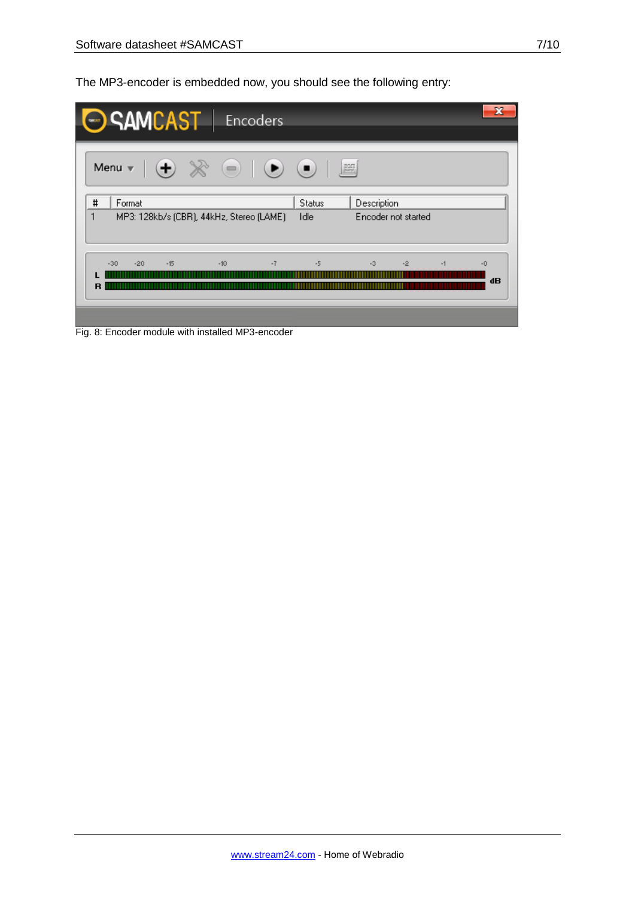The MP3-encoder is embedded now, you should see the following entry:

|                     | SAMCAST   Encoders                                                                                               |                       |                                    |      |            |
|---------------------|------------------------------------------------------------------------------------------------------------------|-----------------------|------------------------------------|------|------------|
|                     | Menu $\mathbf{v} \mid (\mathbf{+}) \times \mathbf{0}$ $\mid (\mathbf{0} \mid \mathbf{0})$ $\mid \mathbf{0} \mid$ |                       |                                    |      |            |
| #<br>Format<br>1    | MP3: 128kb/s (CBR), 44kHz, Stereo (LAME)                                                                         | <b>Status</b><br>Idle | Description<br>Encoder not started |      |            |
| $-30$<br>$-20$<br>R | $-15$<br>$-10$                                                                                                   | $-7$<br>$-5$          | $-3$<br>$-2$                       | $-1$ | $-0$<br>dB |

Fig. 8: Encoder module with installed MP3-encoder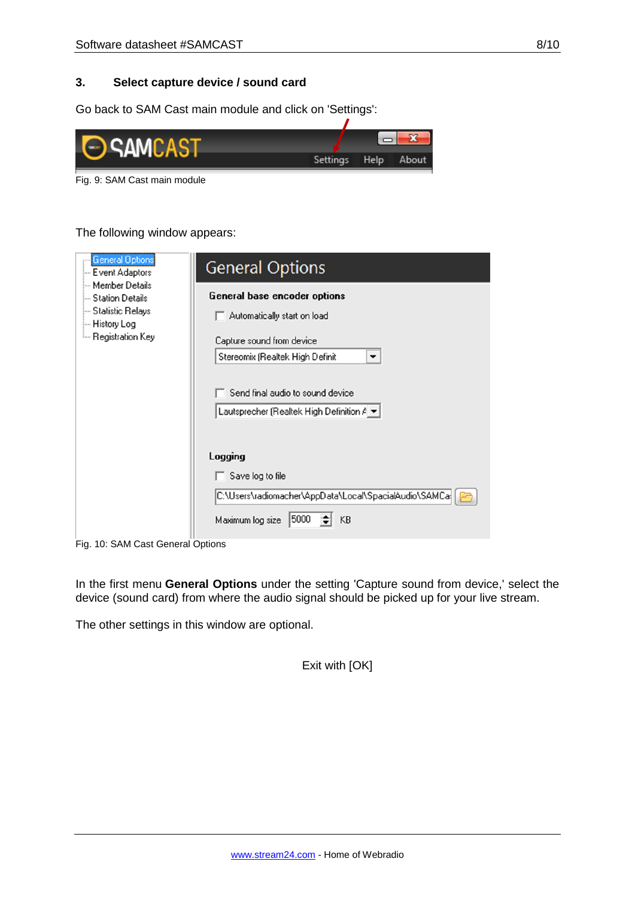# **3. Select capture device / sound card**

Go back to SAM Cast main module and click on 'Settings':



Fig. 9: SAM Cast main module

The following window appears:

| General Options<br>- Event Adaptors<br>— Member Details<br>- Station Details<br>— Statistic Relays<br>— History Log<br>- Registration Key | <b>General Options</b>                                                                                                           |
|-------------------------------------------------------------------------------------------------------------------------------------------|----------------------------------------------------------------------------------------------------------------------------------|
|                                                                                                                                           | General base encoder options<br>Automatically start on load<br>Capture sound from device<br>Stereomix (Realtek High Definit<br>▼ |
|                                                                                                                                           | Send final audio to sound device<br>Lautsprecher (Realtek High Definition $A =$                                                  |
|                                                                                                                                           | Logging                                                                                                                          |
|                                                                                                                                           | Save log to file<br>C:\Users\radiomacher\AppData\Local\SpacialAudio\SAMCa{                                                       |
|                                                                                                                                           | 5000<br>Maximum log size<br>KB                                                                                                   |

Fig. 10: SAM Cast General Options

In the first menu **General Options** under the setting 'Capture sound from device,' select the device (sound card) from where the audio signal should be picked up for your live stream.

The other settings in this window are optional.

Exit with [OK]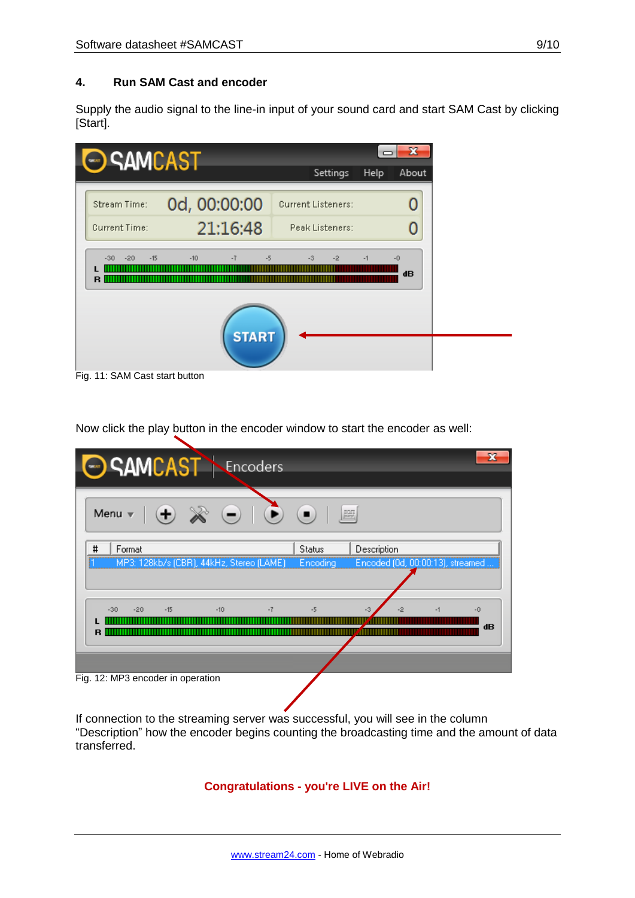# **4. Run SAM Cast and encoder**

Supply the audio signal to the line-in input of your sound card and start SAM Cast by clicking [Start].



Now click the play button in the encoder window to start the encoder as well:

| SAMCAST Encoders                                                                                                                                                                                                                                                                                                             |                 |                                  |      |      |
|------------------------------------------------------------------------------------------------------------------------------------------------------------------------------------------------------------------------------------------------------------------------------------------------------------------------------|-----------------|----------------------------------|------|------|
| Menu $\mathbf{v}$ $\mathbf{v}$ $\mathbf{v}$ $\mathbf{v}$ $\mathbf{v}$ $\mathbf{v}$ $\mathbf{v}$ $\mathbf{v}$ $\mathbf{v}$ $\mathbf{v}$ $\mathbf{v}$ $\mathbf{v}$ $\mathbf{v}$ $\mathbf{v}$ $\mathbf{v}$ $\mathbf{v}$ $\mathbf{v}$ $\mathbf{v}$ $\mathbf{v}$ $\mathbf{v}$ $\mathbf{v}$ $\mathbf{v}$ $\mathbf{v}$ $\mathbf{v}$ | 圖               |                                  |      |      |
| #<br>Format                                                                                                                                                                                                                                                                                                                  | <b>Status</b>   | Description                      |      |      |
| MP3: 128kb/s (CBR), 44kHz, Stereo (LAME)                                                                                                                                                                                                                                                                                     | <b>Encoding</b> | Encoded (0d, 00:00:13), streamed |      |      |
|                                                                                                                                                                                                                                                                                                                              |                 |                                  |      |      |
| $-10$<br>$-7$<br>$-15$<br>$-20$<br>$-30$                                                                                                                                                                                                                                                                                     | $-5$            | ٥<br>-3                          | $-1$ | $-0$ |
|                                                                                                                                                                                                                                                                                                                              |                 |                                  |      | dB   |
|                                                                                                                                                                                                                                                                                                                              |                 |                                  |      |      |
|                                                                                                                                                                                                                                                                                                                              |                 |                                  |      |      |
| Fig. 12: MP3 encoder in operation                                                                                                                                                                                                                                                                                            |                 |                                  |      |      |

If connection to the streaming server was successful, you will see in the column "Description" how the encoder begins counting the broadcasting time and the amount of data transferred.

#### **Congratulations - you're LIVE on the Air!**